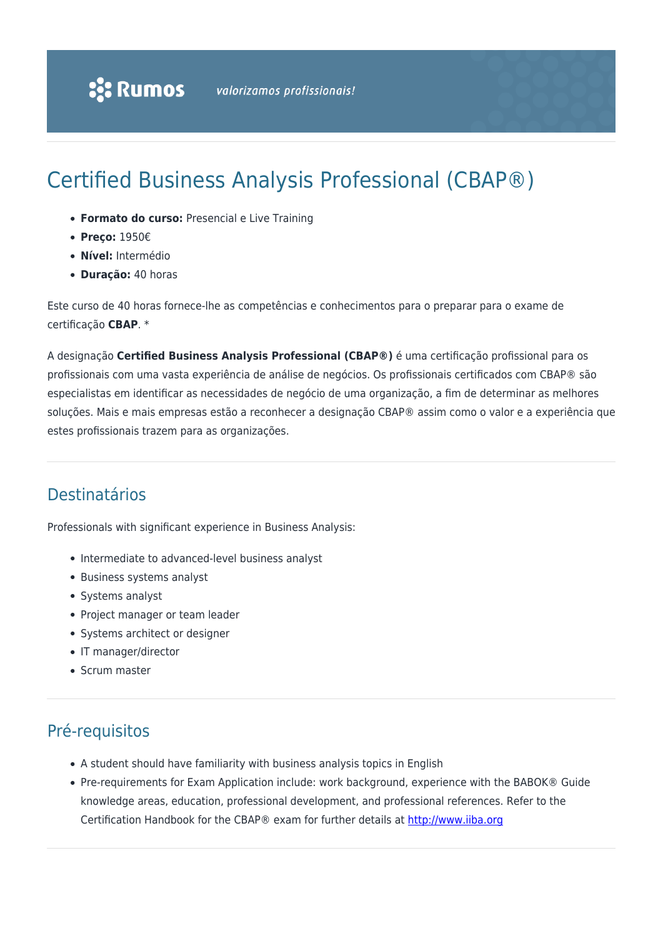# Certified Business Analysis Professional (CBAP®)

- **Formato do curso:** Presencial e Live Training
- **Preço:** 1950€
- **Nível:** Intermédio
- **Duração:** 40 horas

Este curso de 40 horas fornece-lhe as competências e conhecimentos para o preparar para o exame de certificação **CBAP**. \*

A designação **Certified Business Analysis Professional (CBAP®)** é uma certificação profissional para os profissionais com uma vasta experiência de análise de negócios. Os profissionais certificados com CBAP® são especialistas em identificar as necessidades de negócio de uma organização, a fim de determinar as melhores soluções. Mais e mais empresas estão a reconhecer a designação CBAP® assim como o valor e a experiência que estes profissionais trazem para as organizações.

### Destinatários

Professionals with significant experience in Business Analysis:

- Intermediate to advanced-level business analyst
- Business systems analyst
- Systems analyst
- Project manager or team leader
- Systems architect or designer
- IT manager/director
- Scrum master

### Pré-requisitos

- A student should have familiarity with business analysis topics in English
- Pre-requirements for Exam Application include: work background, experience with the BABOK® Guide knowledge areas, education, professional development, and professional references. Refer to the Certification Handbook for the CBAP® exam for further details at [http://www.iiba.org](https://www.iiba.org/certification/iiba-certifications/cbap/)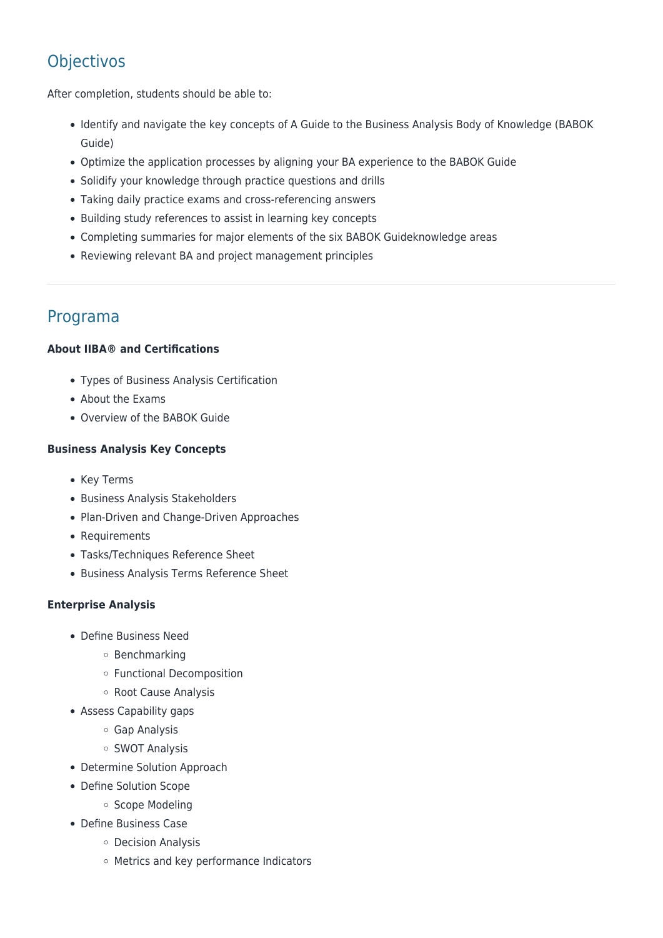## **Objectivos**

After completion, students should be able to:

- Identify and navigate the key concepts of A Guide to the Business Analysis Body of Knowledge (BABOK Guide)
- Optimize the application processes by aligning your BA experience to the BABOK Guide
- Solidify your knowledge through practice questions and drills
- Taking daily practice exams and cross-referencing answers
- Building study references to assist in learning key concepts
- Completing summaries for major elements of the six BABOK Guideknowledge areas
- Reviewing relevant BA and project management principles

### Programa

#### **About IIBA® and Certifications**

- Types of Business Analysis Certification
- About the Exams
- Overview of the BABOK Guide

#### **Business Analysis Key Concepts**

- Key Terms
- Business Analysis Stakeholders
- Plan-Driven and Change-Driven Approaches
- Requirements
- Tasks/Techniques Reference Sheet
- Business Analysis Terms Reference Sheet

#### **Enterprise Analysis**

- Define Business Need
	- Benchmarking
	- Functional Decomposition
	- Root Cause Analysis
- Assess Capability gaps
	- Gap Analysis
	- SWOT Analysis
- Determine Solution Approach
- Define Solution Scope
	- o Scope Modeling
- Define Business Case
	- Decision Analysis
	- Metrics and key performance Indicators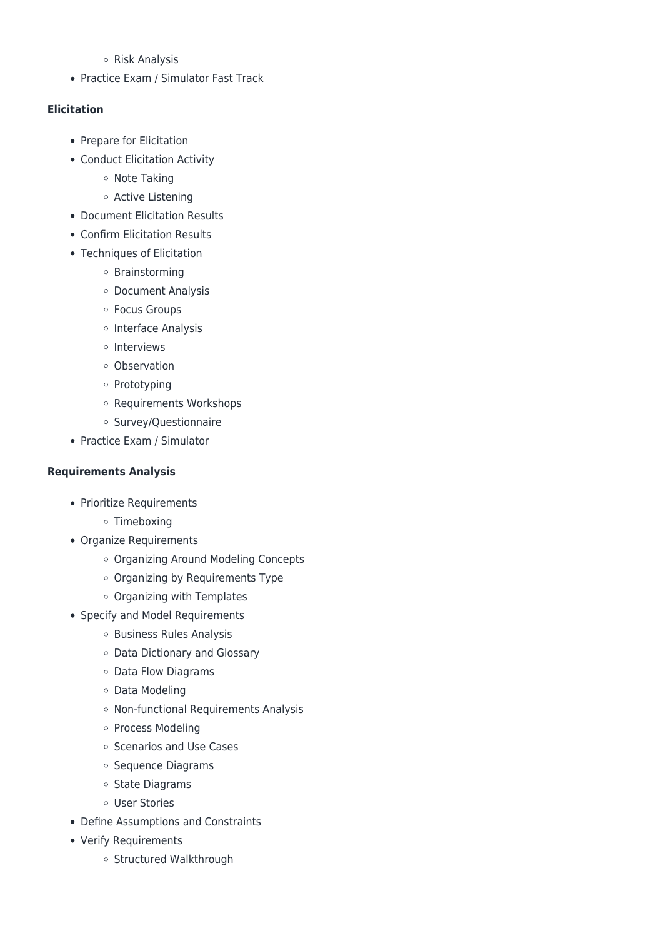#### Risk Analysis

• Practice Exam / Simulator Fast Track

#### **Elicitation**

- Prepare for Elicitation
- Conduct Elicitation Activity
	- o Note Taking
	- Active Listening
- Document Elicitation Results
- Confirm Elicitation Results
- Techniques of Elicitation
	- Brainstorming
	- Document Analysis
	- Focus Groups
	- o Interface Analysis
	- o Interviews
	- Observation
	- o Prototyping
	- Requirements Workshops
	- Survey/Questionnaire
- Practice Exam / Simulator

#### **Requirements Analysis**

- Prioritize Requirements
	- Timeboxing
- Organize Requirements
	- Organizing Around Modeling Concepts
	- Organizing by Requirements Type
	- o Organizing with Templates
- Specify and Model Requirements
	- o Business Rules Analysis
	- Data Dictionary and Glossary
	- Data Flow Diagrams
	- Data Modeling
	- o Non-functional Requirements Analysis
	- o Process Modeling
	- o Scenarios and Use Cases
	- o Sequence Diagrams
	- o State Diagrams
	- User Stories
- Define Assumptions and Constraints
- Verify Requirements
	- o Structured Walkthrough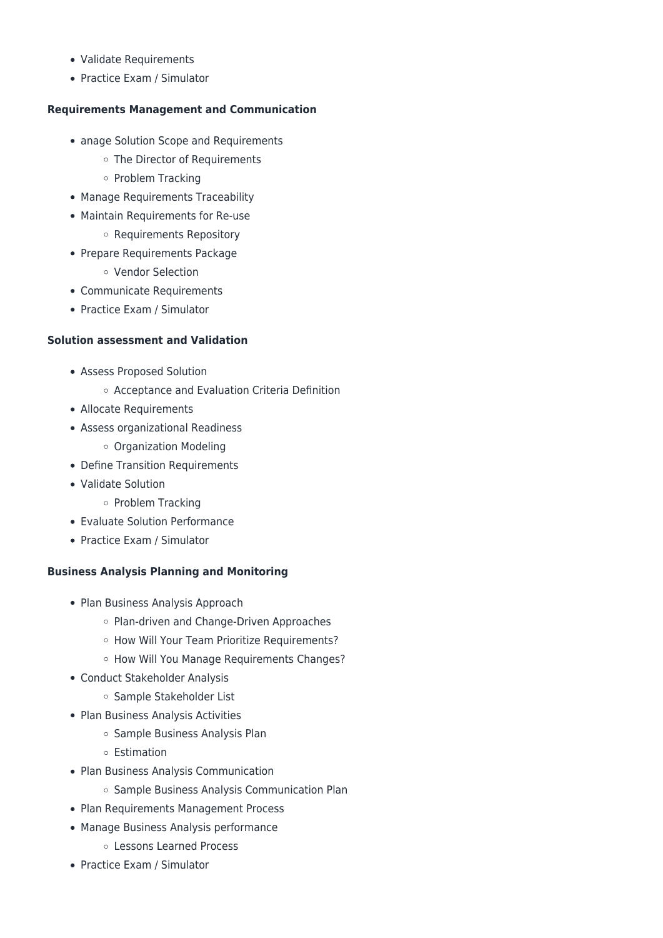- Validate Requirements
- Practice Exam / Simulator

#### **Requirements Management and Communication**

- anage Solution Scope and Requirements
	- o The Director of Requirements
	- o Problem Tracking
- Manage Requirements Traceability
- Maintain Requirements for Re-use
	- o Requirements Repository
- Prepare Requirements Package
	- Vendor Selection
- Communicate Requirements
- Practice Exam / Simulator

#### **Solution assessment and Validation**

- Assess Proposed Solution
	- Acceptance and Evaluation Criteria Definition
- Allocate Requirements
- Assess organizational Readiness
	- Organization Modeling
- Define Transition Requirements
- Validate Solution
	- o Problem Tracking
- Evaluate Solution Performance
- Practice Exam / Simulator

#### **Business Analysis Planning and Monitoring**

- Plan Business Analysis Approach
	- o Plan-driven and Change-Driven Approaches
	- o How Will Your Team Prioritize Requirements?
	- o How Will You Manage Requirements Changes?
- Conduct Stakeholder Analysis
	- o Sample Stakeholder List
- Plan Business Analysis Activities
	- o Sample Business Analysis Plan
	- Estimation
- Plan Business Analysis Communication
	- o Sample Business Analysis Communication Plan
- Plan Requirements Management Process
- Manage Business Analysis performance
	- Lessons Learned Process
- Practice Exam / Simulator